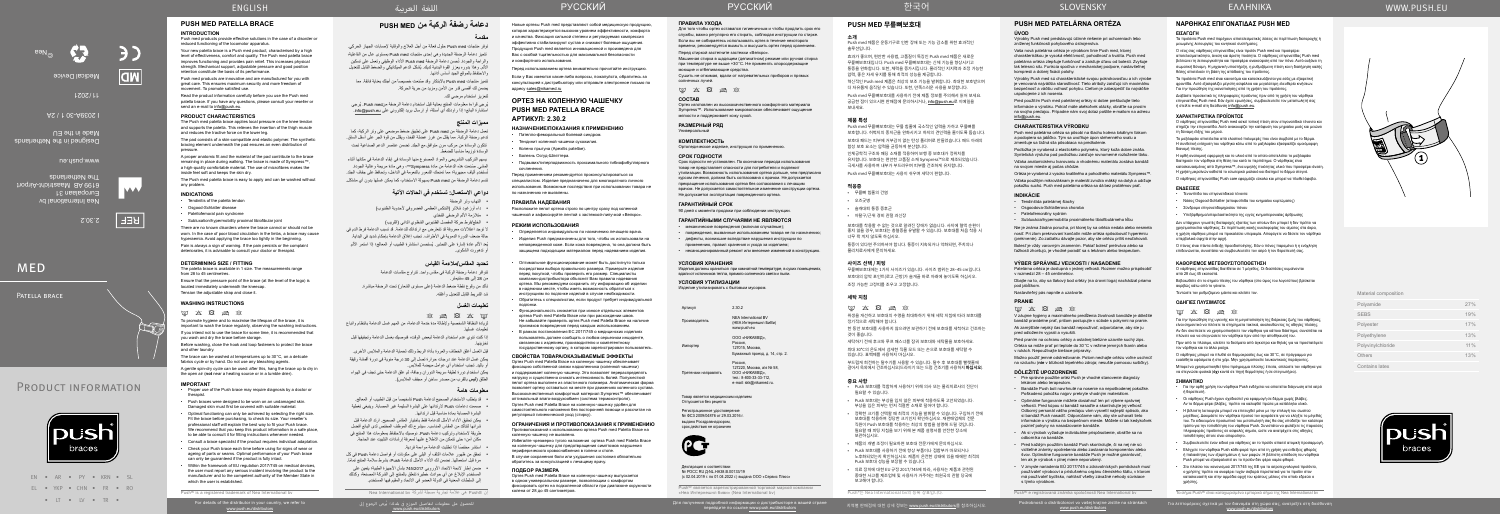Product information

For details of the distributor in your country, we refer to www.push.eu/distributors

للحصول على معلومات لتفاصيل الموزع في بلدك؛ يُرجى الرجوع إلى<br>www.push.eu/distributors ف



| Polyamide         | 27% |
|-------------------|-----|
| <b>SEBS</b>       | 19% |
| Polyester         | 17% |
| Polyethylene      | 13% |
| Polyvinylchloride | 11% |
| <b>Others</b>     | 13% |
| Contains latex    |     |
|                   |     |



2.30.2

BEF |

 $\sqrt{N}$ 

Nea International bv Europalaan 31

6199 AB Maastricht-Airport

**MED** 

Регистрационное удостоверение № ФСЗ 2009/04876 от 29.03.2016 выдано Росздравнадзором, срок действия не ограничен



The Netherlands

Made in the EU

Designed in the Netherlands

I 2039A-30 1 / 2A

**Medical Device** 

**11/2021** 

www.push.eu

©Nea

EN • AR • PY • KRN • SL EL • YKP • CHN • FR • RO • LT • LV • TR •

push braces

### **УСЛОВИЯ ХРАНЕНИЯ**

Изделия должны храниться при комнатной температуре, в сухих помещениях, вдали от источников тепла, прямого солнечного света и пыли.

### **УСЛОВИЯ УТИЛИЗАЦИИ** Изделие утилизировать с бытовым мусором.

Артикул 2.30.2

Производитель NEA International BV (НЕА Интернешнл БиВи)

Импортер

www.push.eu ООО «НИКАМЕД», Россия, 127015, Москва, Бумажный проезд, д. 14, стр. 2.

- $\boxtimes$   $\boxtimes$   $\boxtimes$   $\boxtimes$ لزيادة النظافة الشخصية وإلطالة مدة خدمة الدعامة، من المهم غسل الدعامة بانتظام واتباع
- تعليمات غسلها. إذا كنت تنوي عدم استخدام الدعامة لبعض الوقت، فنوصيك بغسل الدعامة وتجفيفها قبل تخزينها.
- قبل الغسل أغلق الخطاف والعروة بأداة الربط وذلك لحماية الدعامة والمالبس األخرى.
- يمكن غسل الدعامة عند درجات حرارة تصل إلى 30 درجة مئوية في دورة أقمشة رقيقة أو باليد. تجنب استخدام أي عوامل مبيضة للمالبس.
- يمكن استخدام دورة لطيفة سريعة الدوران وجافة، ثم علق الدعامة حتى تجف في الهواء الطلق )**ليس** بالقرب من مصدر ساخن أو مجفف المالبس(.

### Претензии направлять Россия, 127220, Москва, а/я № 58, ООО «НИКАМЕД», тел.: 8-800-33-33-112, e-mail: skk@nikamed.ru.

Товар является медицинским изделием Отпускается без рецепта

### Декларация о соответствии № РОСС RU Д-NL.НА38.B.00133/19 (с 02.04.2019 г. по 01.04.2022 г.) выдана ООО «Сервис Плюс»

- قد يتطلب الاستخدام الصحيح لدعامة Push تشخيصاً من قبل الطبيب أو المعالج.
- صممت دعامات Push الرتدائها على البشرة السليمة غير المصابة. وينبغي تغطية البشرة المصابة بمادة مناسبة قبل ارتدائها.
- يمكن تحقيق األداء األمثل للدعامة فقط باختيار المقاس الصحيح. ارتد الدعامة قبل شرائها لتتأكد من المقاس المناسب. سيشرح لك الموظف المختص لدى البائع أفضل طريقة الستخدام وتركيب دعامة Push. نوصيك باالحتفاظ بمعلومات هذا المنتج في مكان آمن؛ حتى تتمكن من االطالع عليها لمعرفة إرشادات التثبيت عند الحاجة.
	- ً استشر مختصا إذا تطلبت الدعامة مواءمة فردية.
- تحقق من ظهور عالمات التلف أو البلى على مكونات أو فواصل دعامة Push في كل مرة قبل استعمالها. نضمن لك الأداء الأمثل لدعامة Push، بشرط سلامة المنتج تمامًا.
- ضمن إطار الئحة االتحاد األوروبي 745/2017 بشأن األجهزة الطبية؛ يتعين على المستخدم اإلبالغ عن أي حوادث خطيرة تتعلق بالمنتج إلى الشركة المصنعة، وكذلك إلى السلطات المعنية في الدولة العضو في االتحاد والمقيم فيها المستخدم.

ن @Push هي علامة تجارية مسجلة لشركة Nea International by

Push® является зарегистрированной торговой маркой компании «Неа Интернешнл биви» (Nea International bv)

# Для получения подробной информации о дистрибьюторе в вашей стране деявет деяв деявет и деявет деявет деявет дея<br>перейдите по ссылке www.push.eu/distributors истраней деявет деявет деявет деявет деявет ней деявет деявет д

### **تحديد المقاس/مالءمة القياس**

تتوافر دعامة رضفة الركبة في مقاس واحد. تتراوح مقاسات الدعامة من 28 إلى 45 سنتيمتر. تأكد من وقوع نقطة ضغط الدعامة (على مستوى الشعار) تحت الرضفة مباشرة. شد الشريط القابل للتعديل وأغلقه.

### **تعليمات الغسل**

movement. To promote satisfied use. Read the product information carefully before you use the Push med patella brace. If you have any questions, please consult your reseller or send an e-mail to info@push.eu.

### **معلومات هامة**

worn. In the case of poor blood circulation in the limbs, a brace may cause hyperaemia. Avoid applying the brace too tightly in the beginning. Pain is always a sign of warning. If the pain persists or the complaint deteriorates, it is advisable to consult your doctor or therapist.

Patella brace

# **PUSH MED PATELLA BRACE**

### **INTRODUCTION**

Push med products provide effective solutions in the case of a disorder or reduced functioning of the locomotor apparatus. Your new patella brace is a Push med product, characterised by a high level of effectiveness, comfort and quality. The Push med patella brace improves functioning and provides pain relief. This increases physical

strength. Mechanical support, adjustable pressure and good position retention constitute the basis of its performance. Push med products are innovative and are manufactured for you with great care. This ensures maximum security and more freedom of

> ُيرجى قراءة معلومات المنتج بعناية قبل استخدام دعامة الرضفة منmed Push ُ . يرجي استشارة البائع؛ إذا راودتك أي أسئلة، أو إرسال بريد إلكتروني على info@push.eu.

تعمل دعامة الرضفة من med Push على تطبيق ضغط موضعي على وتر الركبة، كما تدعم رضفة الركبة. مما يقلل من غرز عضلة الفخذ، ويقلل من قوة الجر على أسفل الساق. تتكون الوسادة من مركب مرن متوافق مع الجلد. تضمن عناصر الدعم الصناعية تحت الوسادة توزيعا مناسبا للضغط

### **PRODUCT CHARACTERISTICS**

The Push med patella brace applies local pressure on the knee tendon and supports the patella. This relieves the insertion of the thigh muscle and reduces the tractive force on the lower leg.

The pad consists of a skin-compatible and elastic polymer. The synthetic bracing element underneath the pad ensures an even distribution of pressure.

A proper anatomic fit and the material of the pad contribute to the brace remaining in place during walking. The brace is made of Sympress™, a high-quality comfortable material. The use of microfibres makes the inside feel soft and keeps the skin dry.

The Push med patella brace is easy to apply and can be washed without any problem.

### **INDICATIONS**

- Tendinitis of the patella tendon
- Osgood-Schlatter disease
- Patellofemoral pain syndrome
- Subluxation/hypermobility proximal tibiofibular joint There are no known disorders where the brace cannot or should not be

### **DETERMINING SIZE / FITTING**

The patella brace is available in 1 size. The measurements range from 28 to 45 centimetres.

Ensure that the pressure point of the brace (at the level of the logo) is located immediately underneath the kneecap. Tension the adjustable strap and close it.

### **WASHING INSTRUCTIONS**

### $\boxtimes$   $\boxtimes$   $\boxtimes$   $\boxtimes$

To promote hygiene and to maximise the lifespan of the brace, it is important to wash the brace regularly, observing the washing instructions. If you intend not to use the brace for some time, it is recommended that you wash and dry the brace before storage.

Before washing, close the hook and loop fasteners to protect the brace and other laundry.

The brace can be washed at temperatures up to 30°C, on a delicate fabrics cycle or by hand. Do not use any bleaching agents.

A gentle spin-dry cycle can be used: after this, hang the brace up to dry in the open air (**not** near a heating source or in a tumble drier).

### **IMPORTANT**

- Proper use of the Push brace may require diagnosis by a doctor or therapist
- Push braces were designed to be worn on an undamaged skin. Damaged skin must first be covered with suitable material.
	- Optimal functioning can only be achieved by selecting the right size. Fit the brace before purchasing, to check its size. Your reseller's professional staff will explain the best way to fit your Push brace. We recommend that you keep this product information in a safe place, to be able to consult it for fitting instructions whenever needed.
	- Consult a brace specialist if the product requires individual adaptation.
	- Check your Push brace each time before using for signs of wear or ageing of parts or seams. Optimal performance of your Push brace can only be guaranteed if the product is fully intact.
	- Within the framework of EU regulation 2017/745 on medical devices the user must report any serious incident involving the product to the manufacturer and to the competent authority of the Member State in

which the user is established. Push® is a registered trademark of Nea International bv

# **دعامة رضفة الركبة من MED PUSH**

# **مقدمة**

- توفر منتجات med Push حلول فعالة من أجل العالج والوقاية إلصابات الجهاز الحركي.
- تتميز دعامة الرضفة الجديدة وهي إحدى منتجات med Push ِ بمستوى عال من الفاعلية، والراحة والجودة. تُحسن دعامة الرضفة Push med الأداء الوظيفي وتعمل على تسكين ُ األلم. وهذا بدوره يعزز القوة البدنية لديك. يشكل الدعم الميكانيكي والضغط القابل للتعديل
- واالحتفاظ بالموقع الجيد أساس أدائها. تتميز منتجات Push med بالابتكار وقد صُنعت خصيصاً من أجلك بعناية فائقة. مما يضمن لك أقصى قدر من األمن ومزيد من حرية الحركة.

لتعزيز استخدام مرضي لك.

### **مميزات المنتج**

 يسهم التركيب التشريحي والمواد المصنوع منها الوسادة في إبقاء الدعامة في مكانها أثناء ً المشي. صنعت هذه الدعامة من مادة Sympress™، وهي مادة مريحة وعالية الجودة. ُستخدم ألياف مجهرية؛ مما تمنحك الشعور بالنعومة في الداخل، وتحافظ على جفاف الجلد. ت

تتسم دعامة الرضفة من med Push بسهولة االستخدام، كما يمكن غسلها بدون أي مشاكل.

### **دواعي االستعمال: تستخدم في الحاالت اآلتية**

- التهاب وتر الرضفة
- داء أوزغود شالتر )التنكس العظمي الغضروفي ألحدوبة الظنبوب(
	- متالزمة األلم الرضفي الفخذي

 الخلع/فرط حركة المفصل الظنبوبي الشظوي الداني )القريب( ال توجد اعتالالت معروفة قد تتعارض مع ارتدائك للدعامة. قد تسبب الدعامة فرط الدم في حالة ضعف الدورة الدموية في األطراف. تجنب إغالق الدعامة بإحكام شديد في البداية. يُعد الألم عادة إشارة على التحذير. يُستحسن استشارة الطبيب أو المعالج؛ إذا استمر الألم أو تدهورت الشكوى.

Новые ортезы Push med представляют собой медицинскую продукцию, которая характеризуется высоким уровнем эффективности, комфорта и качества. Фиксация сильной степени и регулируемая компрессия эффективно стабилизируют сустав и снижают болевые ощущения. Продукция Push med является инновационной и произведена для Вас с особой тщательностью для максимальной безопасности

> $\label{eq:3.1} \boxtimes \; \boxtimes \; \boxtimes \; \boxtimes \; \boxtimes \; \boxtimes$ V záujme hygieny a maximálneho predĺženia životnosti bandáže je dôležité bandáž pravidelne prať, pričom postupujte v súlade s pokynmi na pranie.

и комфортного использования.

Перед использованием ортеза внимательно прочитайте инструкцию. Если у Вас имеются какие-либо вопросы, пожалуйста, обратитесь за консультацией к дистрибьютору или отправьте электронное письмо по

адресу sales@nikamed.ru

**ОРТЕЗ НА КОЛЕННУЮ ЧАШЕЧКУ PUSH MED PATELLA BRACE**

**АРТИКУЛ: 2.30.2**

**НАЗНАЧЕНИЕ/ПОКАЗАНИЯ К ПРИМЕНЕНИЮ** • Пателло-феморальный болевой синдром. • Тендинит коленной чашечки сухожилия. • Колено прыгуна (Apexitis patellae). • Болезнь Осгуд-Шляттера.

• Подвывих/гиперподвижность проксимального тибиофибуллярного

сочленения.

Перед применением рекомендуется проконсультироваться со специалистом. Изделие предназначено для многократного личного использования. Возможные последствия при использовании товара не

> odrobnosti o distribútorovi vo vašej krajine zistíte na stránkách<br>www.push.eu/distributors Push® e registrovaná známka spoločnosti Nea International bv

по назначению не выявлены. **ПРАВИЛА НАДЕВАНИЯ**

**РЕЖИМ ИСПОЛЬЗОВАНИЯ**

• Определяется индивидуально по назначению лечащего врача. • Изделия Push предназначены для того, чтобы их использовали на неповрежденной коже. Если кожа повреждена, то она должна быть защищена подходящим материалом перед надеванием изделия. • Оптимальное функционирование может быть достигнуто только посредством выбора правильного размера. Примерьте изделие перед покупкой, чтобы проверить его размер. Специалисты компании-дистрибьютора объяснят Вам правила надевания ортеза. Мы рекомендуем сохранить эту информацию об изделии в надежном месте, чтобы иметь возможность обратиться к инструкциям по подгонке изделий в случае необходимости. • Обратитесь к специалистам, если продукт требует индивидуальной

подгонки.

• Функциональность снижается при износе отдельных элементов ортеза Push med Patella Brace или при расхождении швов. Не забывайте проверять ортез Push med Patella Brace на наличие признаков повреждения перед каждым использованием. • В рамках постановления ЕС 2017/745 о медицинских изделиях пользователь должен сообщать о любом серьезном инциденте, связанном с изделием, производителю и компетентному государственному органу, в котором зарегистрирован пользователь. **СВОЙСТВА ТОВАРА/ОКАЗЫВАЕМЫЕ ЭФФЕКТЫ** Ортез Push med Patella Brace на коленную чашечку обеспечивает фиксацию собственной связки надколенника (коленной чашечки) и поддерживает коленную чашечку. Это позволяет перераспределять нагрузку и существенно снижать интенсивность болей. Полужесткий пелот ортеза выполнен из эластичного полимера. Анатомическая форма позволяет ортезу оставаться на месте при движениях коленного сустава. Высококачественный комфортный материал Sympress™ обеспечивает оптимальный влаго-воздухообмен (система термоконтроля). Ортез Push med Patella Brace на коленную чашечку удобен для самостоятельного наложения без посторонней помощи и рассчитан на

регулярный гигиенический уход (стирку).

Расположите пелот ортеза строго по центру сразу под коленной чашечкой и зафиксируйте лентой с застежкой-липучкой «Велкро». 90 дней с момента продажи при соблюдении инструкции.

**ОГРАНИЧЕНИЯ И ПРОТИВОПОКАЗАНИЯ К ПРИМЕНЕНИЮ** Противопоказаний к использованию ортеза Push med Patella Brace на

коленную чашечку не выявлено.

Избегайте чрезмерно тугого наложения ортеза Push med Patella Brace на коленную чашечку для предотвращения симптомов нарушения периферического кровоснабжения в голени и стопе. В случае сохранения боли или ухудшения состояния обязательно

обратитесь за консультацией к лечащему врачу.

**ПОДБОР РАЗМЕРА**

Ортез Push med Patella Brace на коленную чашечку выпускается в одном универсальном размере, позволяющим с комфортом фиксировать ортез на подколенной области при диапазоне окружности

колена от 28 до 45 сантиметров.

### **ПРАВИЛА УХОДА**

# Для того чтобы ортез оставался гигиеничным и чтобы продлить срок его

службы, важно регулярно его стирать, соблюдая инструкции по стирке. Если вы не собираетесь использовать ортез в течение некоторого времени, рекомендуется вымыть и высушить ортез перед хранением. Перед стиркой застегните застежки «Велкро». Машинная стирка в щадящем (деликатном) режиме или ручная стирка при температуре не выше +30°С. Не применять хлорсодержащие моющие и отбеливающие средства. Сушить не отжимая, вдали от нагревательных приборов и прямых солнечных лучей.

 $\label{eq:3.1} \begin{array}{lll} \boxtimes \; \boxtimes \; \boxtimes \; \boxtimes \; \boxtimes \; \boxtimes \end{array}$ 

### **СОСТАВ**

Ортез изготовлен из высококачественного комфортного материала

Sympress™. Использование микроволокон обеспечивает ощущение мягкости и поддерживает кожу сухой.

### **РАЗМЕРНЫЙ РЯД** Универсальный

**КОМПЛЕКТНОСТЬ**

Ортопедическое изделие, инструкция по применению.

### **СРОК ГОДНОСТИ**

Срок годности не установлен. По окончании периода использования товар не представляет опасности для потребителя и подлежит утилизации. Возможность использования ортеза дольше, чем предписано курсом лечения, должна быть согласована с врачом. Не допускается прекращение использования ортеза без согласования с лечащим врачом. Не допускается самостоятельное изменение конструкции ортеза. Не допускается эксплуатация поврежденного ортеза.

### **ГАРАНТИЙНЫЙ СРОК**

### **ГАРАНТИЙНЫМИ СЛУЧАЯМИ НЕ ЯВЛЯЮТСЯ**

- механические повреждения (включая случайные);
	- повреждения, вызванные использованием товара не по назначению; • дефекты, возникшие вследствие нарушения инструкции по
	- применению, правил хранения и ухода за изделием;
	- несанкционированный ремонт или внесение изменений в конструкцию.

**PUSH MED 무릎뼈보호대**

**소개** Push med 제품은 운동기구로 인한 장애 또는 기능 감소를 위한 효과적인

솔루션입니다.

효과가 좋으며, 편안한 사용법, 고품질이 특징인 Push med 제품은 새로운 무릎뼈보호대입니다. Push med 무릎뼈보호대는 신체 기능을 향상시키고 통증을 완화합니다. 또한, 체력을 증가시킵니다. 물리적인 지지력과 조정 가능한

압력, 좋은 자세 유지를 통해 최적의 성능을 제공합니다.

혁신적인 Push med 제품은 최상의 보조 기능을 발휘합니다. 최대한 보호받으며 더 자유롭게 움직일 수 있습니다. 또한, 만족스러운 사용을 보장합니다. Push med 무릎뼈보호대를 사용하기 전에 제품 정보를 주의해서 읽어 보세요. 궁금한 점이 있으시면 판매점에 문의하시거나, info@push.eu로 이메일을

보내세요. **제품 특성**

Push med 무릎뼈보호대는 무릎 힘줄에 국소적인 압력을 가하고 무릎뼈를 보호합니다. 허벅지의 종지근을 완화시키고 하지의 견인력을 줄이도록 돕습니다. 보호대 패드는 피부에 거부감이 없는 탄성 폴리머로 만들었습니다. 패드 아래의

합성 보호 요소는 압력을 균등하게 분산합니다.

인체공학적 구조와 패딩 소재를 적용하여 보행 중 보호대가 정위치를 유지합니다. 보호대는 편안한 고품질 소재 Sympress™으로 제조되었습니다. 극세사를 사용하여 내부가 부드러우며 피부를 건조하게 유지합니다. Push med 무릎뼈보호대는 사용이 쉬우며 세탁이 편합니다.

**적응증** • 무릎뼈 힘줄의 건염 • 오즈굿병 • 슬개대퇴 통증 증후군 • 아탈구/근위 경비 관절 과신장

보호대를 착용할 수 없는 것으로 알려진 장애가 없습니다. 사지에 혈액 순환이 좋지 않을 경우, 보호대는 충혈증을 유발할 수 있습니다. 보호대를 처음 착용 시

너무 꽉 끼지 않도록 하십시오.

통증이 있다면 주의하셔야 합니다. 통증이 지속되거나 악화되면, 주치의나

물리치료사에게 문의하세요. **사이즈 선택 / 피팅**

무릎뼈보호대에는 1가지 사이즈가 있습니다. 사이즈 범위는 28~45 cm입니다. 보호대의 압박 포인트(로고 근방)가 슬개골 바로 아래에 놓이도록 하십시오.

조정 가능한 고정띠를 조우고 고정합니다.

 $\boxtimes$   $\boxtimes$   $\boxtimes$   $\boxtimes$ 

**세탁 지침**

위생을 개선하고 보호대의 수명을 최대화하기 위해 세탁 지침에 따라 보호대를

정기적으로 세탁해야 합니다.

한 동안 보호대를 사용하지 않으려면 보관하기 전에 보호대를 세척하고 건조하는

것이 좋습니다.

세탁하기 전에 후크와 루프 패스너를 잠궈 보호대와 세탁물을 보호하세요. 최대 30°C의 온도에서 섬세한 직물 모드 또는 손으로 보호대를 세탁할 수

있습니다. 표백제를 사용하지 마십시오.

부드럽게 회전하는 탈수기를 사용할 수 있습니다. 탈수 후 보호대를 빨랫줄에 걸어서 옥외에서 건조하십시오(드라이기 또는 드럼 건조기를 사용하지 **마십시오**).

**중요 사항**

• Push 보호대를 적합하게 사용하기 위해 의사 또는 물리치료사의 진단이

필요할 수 있습니다.

• Push 보호대는 부상을 입지 않은 피부에 착용하도록 고안되었습니다. 부상을 입은 피부는 먼저 적절한 소재로 덮어야 합니다.

• 정확한 크기를 선택할 때 최적의 기능을 발휘할 수 있습니다. 구입하기 전에 보호대를 착용하여 정당한 크기인지 확인하십시오. 재판매업체의 전문 직원이 Push 보호대를 착용하는 최상의 방법을 설명해 드릴 것입니다. 필요할 때 피팅 지침을 보기 위해 본 제품 설명서를 안전한 장소에

보관하십시오.

• 제품의 개별 조정이 필요하면 보호대 전문가에게 문의하십시오. • Push 보호대를 사용하기 전에 항상 부품이나 접합부가 마모되거나 노후화되었는지 확인하십시오. 제품이 온전한 상태에 있을 때에만 최적의

Push 보호대 성능을 보장할 수 있습니다.

• 의료 장치에 대한 EU 규정 2017/745에 따라, 사용자는 제품과 관련된 중대한 사고를 제조업체 및 사용자가 거주하는 회원국의 관할 당국에

보고해야 합니다.

Push®는 Nea International bv의 등록 상표입니다.

# **PUSH MED PATELÁRNA ORTÉZA**

**ÚVOD** Výrobky Push med predstavujú účinné riešenie pri ochoreniach lebo

zníženej funkčnosti pohybového ústrojenstva.

Vaša nová patelárna ortéza je výrobkom línie Push med, ktorej charakteristikou je vysoká efektívnosť, pohodlnosť a kvalita. Push med patelárna ortéza zlepšuje funkčnosť a zaisťuje úľavu od bolesti. Zvyšuje tak telesnú silu. Funkcia spočíva v mechanickej podpore, nastaviteľnej kompresii a dobrej fixácii polohy.

Výrobky Push med sú charakteristické svojou pokrokovosťou a ich výrobe

je venovaná najväčšia starostlivosť. Tieto atribúty zaisťujú ich maximálnu bezpečnosť a väčšiu voľnosť pohybu. Cieľom je zabezpečiť čo najväčšie uspokojenie z ich nosenia.

Pred použitím Push med patelárnej ortézy si dobre preštudujte tieto informácie o výrobku. Pokiaľ máte akékoľvek otázky, obráťte sa prosím na svojho predajcu. Prípadne nám svoj dotaz pošlite e-mailom na adresu info@push.eu.

### **CHARAKTERISTIKA VÝROBKU**

Push med patelárna ortéza sa pôsobí na šlachu kolena lokálnym tlakom a podopiera sa jabĺčko. Tým sa uvoľňuje úpon stehenného svalu a zmenšuje sa ťažná sila pôsobiaca na predkolenie.

Podložka je vyrobená z elastického polyméru, ktorý koža dobre znáša. Syntetická výstuha pod podložkou zaisťuje rovnomerné rozloženie tlaku. Vďaka anatomickému tvarovaniu a vhodnému materiálu zostáva bandáž na svojom mieste aj počas chôdze.

Ortéza je vyrobená z vysoko kvalitného a pohodlného materiálu Sympress™. Vďaka použitým mikrovláknam je materiál zvnútra mäkký na dotyk a udržuje pokožku suchú. Push med patelárna ortéza sa dá bez problémov prať.

### **INDIKÁCIE**

- Tendinitída patelárnej šlachy
- Osgoodova-Schlatterova choroba
- Patelofemorálny sydróm
- Subluxácia/hypermobilita proximálneho tibiofibulárneho kĺbu

Nie je známa žiadna porucha, pri ktorej by sa ortéza nedala alebo nesmela nosiť. Pri zlom prekrvovaní končatín môže ortéza spôsobovať hyperémiu (prekrvenie). Zo začiatku dávajte pozor, aby ste ortézu príliš neuťahovali.

Bolesť je vždy varovným znamením. Pokiaľ bolesť pretrváva alebo sa ťažkosti zhoršujú, je vhodné poradiť sa s lekárom alebo terapeutom.

### **VÝBER SPRÁVNEJ VEĽKOSTI / NASADENIE**

Patelárna ortéza je dostupná v jednej veľkosti. Rozmer možno prispôsobiť v rozmedzí 28 – 45 centimetrov.

Dbajte na to, aby sa tlakový bod ortézy (na úrovni loga) nachádzal priamo pod jabĺčkom.

Nastaviteľný pás napnite a uzatvorte.

# **PRANIE**

Ak zamýšľate nejaký čas bandáž nepoužívať, odporúčame, aby ste ju pred odložením vyprali a vysušili.

Pred praním na ochranu ortézy a ostatnej bielizne uzavrite suchý zips. Ortéza sa môže prať pri teplote do 30°C v režime jemných tkanín alebo

v rukách. Nepoužívajte bieliace prípravky.

Možno použiť jemné odstreďovanie. Potom nechajte ortézu voľne uschnúť na vzduchu (**nie** v blízkosti tepelného zdroja; nesušte pomocou sušičky).

### **DÔLEŽITÉ UPOZORNENIE**

- Pre správne použitie ortéz Push je vhodné stanovenie diagnózy lekárom alebo terapeutom.
- Bandáže Push boli navrhnuté na nosenie na nepoškodenej pokožke. Poškodenú pokožku najprv prekryte vhodným materiálom.
- Optimálne fungovanie môžete dosiahnuť len pri výbere správnej veľkosti. Pred kúpou si bandáž nasaďte a skontrolujte jej veľkosť. Odborný personál vášho predajcu vám vysvetlí najlepší spôsob, ako si bandáž Push nasadiť. Odporúčame vám, aby ste uchovali tieto informácie o výrobku na bezpečnom mieste. Môžete si tak kedykoľvek pozrieť pokyny na nasadzovanie bandáže.
- Ak si výrobok vyžaduje individuálne prispôsobenie, obráťte sa na odborníka na bandáže.
- Pred každým použitím bandáž Push skontrolujte, či na nej nie sú viditeľné známky opotrebenia alebo zastarania komponentov alebo švov. Optimálne fungovanie bandáže Push je možné garantovať, len ak je výrobok v plnej miere neporušený.
- V zmysle nariadenia EÚ 2017/745 o zdravotníckych pomôckach musí používateľ výrobcovi a príslušnému orgánu členského štátu, v ktorom má používateľ bydlisko, nahlásiť všetky závažné nehody súvisiace s týmto výrobkom.

# **ΝΑΡΘΗΚΑΣ ΕΠΙΓΟΝΑΤΙΔΑΣ PUSH MED**

### **ΕΙΣΑΓΩΓΗ**

Τα προϊόντα Push med παρέχουν αποτελεσματικές λύσεις σε περίπτωση διαταραχής ή μειωμένης λειτουργίας του κινητικού συστήματος. Ο νέος σας νάρθηκας επιγονατίδας είναι προϊόν Push med και προσφέρει αποτελεσματικότητα, άνεση και άριστη ποιότητα. Ο νάρθηκας επιγονατίδας Push med βελτιώνει τη λειτουργικότητα και προσφέρει ανακούφιση από τον πόνο. Αυτό αυξάνει τη

σωματική δύναμη. Η μηχανική υποστήριξη, η ρυθμιζόμενη πίεση και η διατήρηση καλής θέσης αποτελούν τη βάση της απόδοσης του προϊόντος. Τα προϊόντα Push med είναι καινοτόμα και κατασκευάζονται για εσάς με εξαιρετική

φροντίδα. Αυτό εξασφαλίζει μέγιστη ασφάλεια και μεγαλύτερη ελευθερία κινήσεων. Για την προώθηση της ικανοποίησης από τη χρήση του προϊόντος.

Διαβάστε προσεκτικά τις πληροφορίες προϊόντος πριν από τη χρήση του νάρθηκα επιγονατίδας Push med. Εάν έχετε ερωτήσεις, συμβουλευτείτε τον μεταπωλητή σας ή στείλτε e-mail στη διεύθυνση info@push.eu.

### **ΧΑΡΑΚΤΗΡΙΣΤΙΚΑ ΠΡΟΪΟΝΤΟΣ**

Ο νάρθηκας επιγονατίδας Push med ασκεί τοπική πίεση στον επιγονατιδικό τένοντα και στηρίζει την επιγονατίδα. Αυτό ανακουφίζει την κατάφυση του μηριαίου μυός και μειώνει τη δύναμη έλξης του μηρού.

Το μαξιλαράκι αποτελείται από ελαστικό πολυμερές που είναι συμβατό με το δέρμα. Η συνθετική ενίσχυση του νάρθηκα κάτω από το μαξιλαράκι εξασφαλίζει ομοιόμορφη διανομή πίεσης.

Η ορθή ανατομική εφαρμογή και το υλικό από το οποίο αποτελείται το μαξιλαράκι διατηρούν τον νάρθηκα στη θέση του κατά το περπάτημα. Ο νάρθηκας είναι κατασκευασμένος από Sympress™, ένα υψηλής ποιότητας υλικό που προσφέρει άνεση. Η χρήση μικροϊνών καθιστά το εσωτερικό μαλακό και διατηρεί το δέρμα στεγνό.

Ο νάρθηκας επιγονατίδας Push care εφαρμόζει εύκολα και μπορεί να πλυθεί άφοβα.

### **ΕΝΔΕΙΞΕΙΣ**

- Τενοντίτιδα του επιγονατιδικού τένοντα
- Νόσος Osgood-Schlatter (αποφυσίτιδα του κνημιαίου κυρτώματος)
- Σύνδρομο επιγονατιδομηριαίου πόνου
- Υπεξάρθρημα/υπερελαστικότητα της εγγύς κνημοπερονιαίας άρθρωσης

Δεν υπάρχουν γνωστές διαταραχές εξαιτίας των οποίων δεν μπορεί ή δεν πρέπει να χρησιμοποιείται νάρθηκας. Σε περίπτωση κακής κυκλοφορίας του αίματος στα άκρα, η χρήση νάρθηκα μπορεί να προκαλέσει υπεραιμία. Αποφύγετε να δέσετε τον νάρθηκα υπερβολικά σφιχτά στην αρχή.

Ο πόνος είναι πάντα ένδειξη προειδοποίησης. Εάν ο πόνος παραμένει ή η ενόχληση επιδεινώνεται, συνιστάται να συμβουλευτείτε τον ιατρό ή τον θεραπευτή σας.

### **ΚΑΘΟΡΙΣΜΟΣ ΜΕΓΕΘΟΥΣ/ΤΟΠΟΘΕΤΗΣΗ**

Ο νάρθηκας επιγονατίδας διατίθεται σε 1 μέγεθος. Οι διαστάσεις κυμαίνονται από 28 έως 45 εκατοστά.

Βεβαιωθείτε ότι το σημείο πίεσης του νάρθηκα (στο ύψος του λογοτύπου) βρίσκεται ακριβώς κάτω από το γόνατο. Τεντώστε τον ρυθμιζόμενο ιμάντα και κλείστε τον.

### **ΟΔΗΓΙΕΣ ΠΛΥΣΙΜΑΤΟΣ**

### $m \times R \geqslant R$

Για την προώθηση της υγιεινής και τη μεγιστοποίηση της διάρκειας ζωής του νάρθηκας, είναι σημαντικό να πλένετε τα στηρίγματα τακτικά, ακολουθώντας τις οδηγίες πλύσης. Αν δεν σκοπεύετε να χρησιμοποιήσετε τον νάρθηκα για κάποιο διάστημα, συνιστάται να

πλύνετε και να στεγνώσετε τον νάρθηκα πριν από την αποθήκευσή του. Πριν από το πλύσιμο, κλείστε τα δεσίματα από άγκιστρα και θηλιές για να προστατέψετε

τον νάρθηκα και τα άλλα ρούχα. Ο νάρθηκας μπορεί να πλυθεί σε θερμοκρασίες έως και 30°C, σε πρόγραμμα για

ευαίσθητα υφάσματα ή στο χέρι. Μην χρησιμοποιείτε λευκαντικούς παράγοντες.

Μπορεί να χρησιμοποιηθεί ήπιο πρόγραμμα πλύσης: έπειτα, απλώστε τον νάρθηκα για να στεγνώσει φυσικά (**όχι** κοντά σε πηγή θερμότητας ή σε στεγνωτήριο).

### **ΣΗΜΑΝΤΙΚΟ**

- Για την ορθή χρήση του νάρθηκα Push ενδέχεται να απαιτείται διάγνωση από ιατρό ή θεραπευτή.
- Οι νάρθηκες Push έχουν σχεδιαστεί για εφαρμογή σε δέρμα χωρίς βλάβες. Αν το δέρμα φέρει βλάβες, πρέπει να καλυφθεί πρώτα με κατάλληλο υλικό.
- Η βέλτιστη λειτουργία μπορεί να επιτευχθεί μόνο με την επιλογή του σωστού μεγέθους. Δοκιμάστε τον νάρθηκα προτού τον αγοράσετε για να ελέγξτε το μέγεθός του. Το ειδικευμένο προσωπικό του μεταπωλητή σας θα σας υποδείξει τον καλύτερο τρόπο για την τοποθέτηση του νάρθηκα Push. Συνιστάται να φυλάξετε τις παρούσες πληροφορίες προϊόντος σε ασφαλές σημείο, ώστε να ανατρέχετε στις οδηγίες τοποθέτησης όποτε είναι απαραίτητο.
- Συμβουλευτείτε έναν ειδικό για νάρθηκες αν το προϊόν απαιτεί ατομική προσαρμογή.
- Ελέγχετε τον νάρθηκα Push κάθε φορά πριν από τη χρήση για ενδείξεις φθοράς ή παλαιότητας των εξαρτημάτων ή των ραφών. Η βέλτιστη απόδοση του νάρθηκα Push μπορεί να εξασφαλιστεί αν το προϊόν δεν φέρει καμία φθορά. • Στο πλαίσιο του κανονισμού 2017/745 της ΕΕ για τα ιατροτεχνολογικά προϊόντα,

ο χρήστης πρέπει να αναφέρει τυχόν σοβαρά περιστατικά για το προϊόν στον κατασκευαστή και στην αρμόδια αρχή του κράτους μέλους στο οποίο εδρεύει ο χρήστης. Το σήμα Push® είναι καταχωρισμένο εμπορικό σήμα της Nea International bv

ι<br>Για λεπτομέρειες σχετικά με τον διανομέα στη χώρα σας, ανατρέξτε στη διεύθυνση<sub>ι</sub>